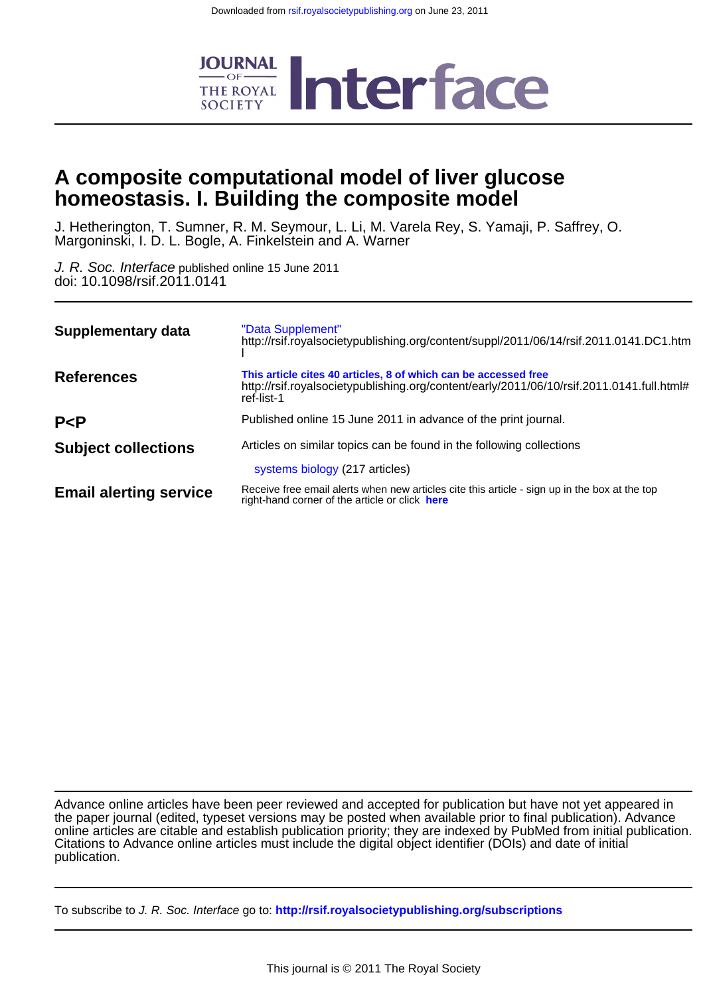

# **homeostasis. I. Building the composite model A composite computational model of liver glucose**

Margoninski, I. D. L. Bogle, A. Finkelstein and A. Warner J. Hetherington, T. Sumner, R. M. Seymour, L. Li, M. Varela Rey, S. Yamaji, P. Saffrey, O.

doi: 10.1098/rsif.2011.0141 J. R. Soc. Interface published online 15 June 2011

| Supplementary data            | "Data Supplement"<br>http://rsif.royalsocietypublishing.org/content/suppl/2011/06/14/rsif.2011.0141.DC1.htm                                                                |  |
|-------------------------------|----------------------------------------------------------------------------------------------------------------------------------------------------------------------------|--|
| <b>References</b>             | This article cites 40 articles, 8 of which can be accessed free<br>http://rsif.royalsocietypublishing.org/content/early/2011/06/10/rsif.2011.0141.full.html#<br>ref-list-1 |  |
| P < P                         | Published online 15 June 2011 in advance of the print journal.                                                                                                             |  |
| <b>Subject collections</b>    | Articles on similar topics can be found in the following collections                                                                                                       |  |
|                               | systems biology (217 articles)                                                                                                                                             |  |
| <b>Email alerting service</b> | Receive free email alerts when new articles cite this article - sign up in the box at the top<br>right-hand corner of the article or click here                            |  |

publication. Citations to Advance online articles must include the digital object identifier (DOIs) and date of initial online articles are citable and establish publication priority; they are indexed by PubMed from initial publication. the paper journal (edited, typeset versions may be posted when available prior to final publication). Advance Advance online articles have been peer reviewed and accepted for publication but have not yet appeared in

To subscribe to J. R. Soc. Interface go to: **<http://rsif.royalsocietypublishing.org/subscriptions>**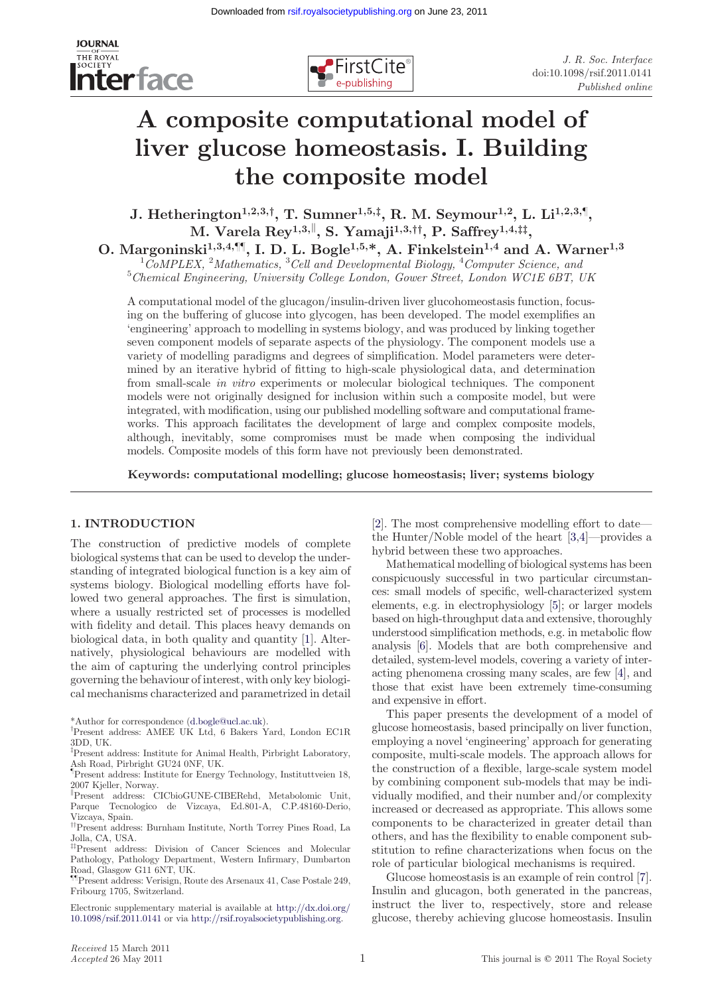



# A composite computational model of liver glucose homeostasis. I. Building the composite model

J. Hetherington<sup>1,2,3,†</sup>, T. Sumner<sup>1,5,‡</sup>, R. M. Seymour<sup>1,2</sup>, L. Li<sup>1,2,3,¶</sup>, M. Varela Rey $^{1,3,\parallel},$  S. Yamaji $^{1,3,\dagger\dagger},$  P. Saffrey $^{1,4,\ddagger\dagger},$ 

O. Margoninski<sup>1,3,4, $\P$ , I. D. L. Bogle<sup>1,5,\*</sup>, A. Finkelstein<sup>1,4</sup> and A. Warner<sup>1,3</sup></sup>

 ${}^{1}$ CoMPLEX, <sup>2</sup>Mathematics, <sup>3</sup>Cell and Developmental Biology, <sup>4</sup>Computer Science, and <sup>5</sup>Chemical Engineering, University College London, Gower Street, London WC1E 6BT, UK

A computational model of the glucagon/insulin-driven liver glucohomeostasis function, focusing on the buffering of glucose into glycogen, has been developed. The model exemplifies an 'engineering' approach to modelling in systems biology, and was produced by linking together seven component models of separate aspects of the physiology. The component models use a variety of modelling paradigms and degrees of simplification. Model parameters were determined by an iterative hybrid of fitting to high-scale physiological data, and determination from small-scale in vitro experiments or molecular biological techniques. The component models were not originally designed for inclusion within such a composite model, but were integrated, with modification, using our published modelling software and computational frameworks. This approach facilitates the development of large and complex composite models, although, inevitably, some compromises must be made when composing the individual models. Composite models of this form have not previously been demonstrated.

Keywords: computational modelling; glucose homeostasis; liver; systems biology

# 1. INTRODUCTION

The construction of predictive models of complete biological systems that can be used to develop the understanding of integrated biological function is a key aim of systems biology. Biological modelling efforts have followed two general approaches. The first is simulation, where a usually restricted set of processes is modelled with fidelity and detail. This places heavy demands on biological data, in both quality and quantity [[1\]](#page-11-0). Alternatively, physiological behaviours are modelled with the aim of capturing the underlying control principles governing the behaviour of interest, with only key biological mechanisms characterized and parametrized in detail

Electronic supplementary material is available at [http:](http://dx.doi.org/10.1098/rsif.2011.0141)//[dx.doi.org](http://dx.doi.org/10.1098/rsif.2011.0141)/ 10.1098/[rsif.2011.0141](http://dx.doi.org/10.1098/rsif.2011.0141) or via [http:](http://rsif.royalsocietypublishing.org)//[rsif.royalsocietypublishing.org](http://rsif.royalsocietypublishing.org).

[\[2](#page-11-0)]. The most comprehensive modelling effort to date the Hunter/Noble model of the heart [[3,4](#page-11-0)]—provides a hybrid between these two approaches.

Mathematical modelling of biological systems has been conspicuously successful in two particular circumstances: small models of specific, well-characterized system elements, e.g. in electrophysiology [\[5](#page-11-0)]; or larger models based on high-throughput data and extensive, thoroughly understood simplification methods, e.g. in metabolic flow analysis [\[6\]](#page-11-0). Models that are both comprehensive and detailed, system-level models, covering a variety of interacting phenomena crossing many scales, are few [\[4](#page-11-0)], and those that exist have been extremely time-consuming and expensive in effort.

This paper presents the development of a model of glucose homeostasis, based principally on liver function, employing a novel 'engineering' approach for generating composite, multi-scale models. The approach allows for the construction of a flexible, large-scale system model by combining component sub-models that may be individually modified, and their number and/or complexity increased or decreased as appropriate. This allows some components to be characterized in greater detail than others, and has the flexibility to enable component substitution to refine characterizations when focus on the role of particular biological mechanisms is required.

Glucose homeostasis is an example of rein control [\[7](#page-11-0)]. Insulin and glucagon, both generated in the pancreas, instruct the liver to, respectively, store and release glucose, thereby achieving glucose homeostasis. Insulin

<sup>\*</sup>Author for correspondence ([d.bogle@ucl.ac.uk\)](mailto:d.bogle@ucl.ac.uk). †

Present address: AMEE UK Ltd, 6 Bakers Yard, London EC1R 3DD, UK.

<sup>‡</sup> Present address: Institute for Animal Health, Pirbright Laboratory, Ash Road, Pirbright GU24 0NF, UK. } Present address: Institute for Energy Technology, Instituttveien 18,

<sup>2007</sup> Kjeller, Norway.

k Present address: CICbioGUNE-CIBERehd, Metabolomic Unit, Parque Tecnologico de Vizcaya, Ed.801-A, C.P.48160-Derio, Vizcaya, Spain.

<sup>††</sup>Present address: Burnham Institute, North Torrey Pines Road, La

Jolla, CA, USA. ‡‡Present address: Division of Cancer Sciences and Molecular Pathology, Pathology Department, Western Infirmary, Dumbarton Road, Glasgow G11 6NT, UK.<br>"I Present address: Verisign, Route des Arsenaux 41, Case Postale 249,

Fribourg 1705, Switzerland.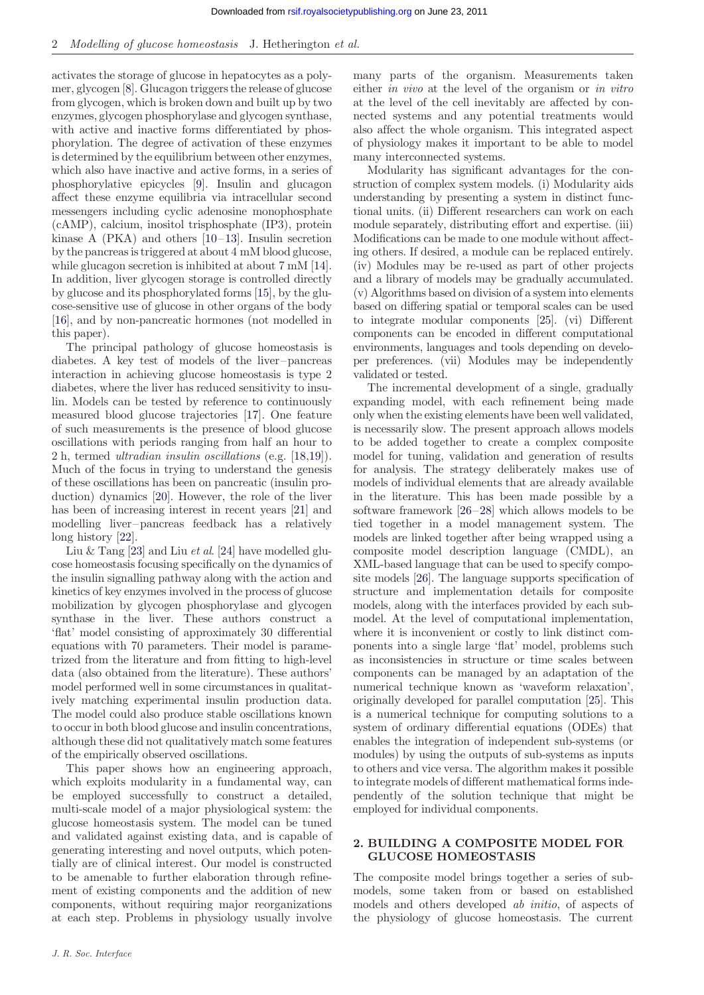activates the storage of glucose in hepatocytes as a polymer, glycogen [\[8](#page-11-0)]. Glucagon triggers the release of glucose from glycogen, which is broken down and built up by two enzymes, glycogen phosphorylase and glycogen synthase, with active and inactive forms differentiated by phosphorylation. The degree of activation of these enzymes is determined by the equilibrium between other enzymes, which also have inactive and active forms, in a series of phosphorylative epicycles [[9\]](#page-11-0). Insulin and glucagon affect these enzyme equilibria via intracellular second messengers including cyclic adenosine monophosphate (cAMP), calcium, inositol trisphosphate (IP3), protein kinase A (PKA) and others [[10](#page-11-0)–[13](#page-11-0)]. Insulin secretion by the pancreas is triggered at about 4 mM blood glucose, while glucagon secretion is inhibited at about 7 mM [\[14](#page-11-0)]. In addition, liver glycogen storage is controlled directly by glucose and its phosphorylated forms [[15\]](#page-11-0), by the glucose-sensitive use of glucose in other organs of the body [\[16](#page-11-0)], and by non-pancreatic hormones (not modelled in this paper).

The principal pathology of glucose homeostasis is diabetes. A key test of models of the liver –pancreas interaction in achieving glucose homeostasis is type 2 diabetes, where the liver has reduced sensitivity to insulin. Models can be tested by reference to continuously measured blood glucose trajectories [[17\]](#page-11-0). One feature of such measurements is the presence of blood glucose oscillations with periods ranging from half an hour to 2 h, termed ultradian insulin oscillations (e.g. [[18,19](#page-12-0)]). Much of the focus in trying to understand the genesis of these oscillations has been on pancreatic (insulin production) dynamics [\[20](#page-12-0)]. However, the role of the liver has been of increasing interest in recent years [\[21](#page-12-0)] and modelling liver –pancreas feedback has a relatively long history [\[22](#page-12-0)].

Liu  $&$  Tang [\[23](#page-12-0)] and Liu *et al.* [[24](#page-12-0)] have modelled glucose homeostasis focusing specifically on the dynamics of the insulin signalling pathway along with the action and kinetics of key enzymes involved in the process of glucose mobilization by glycogen phosphorylase and glycogen synthase in the liver. These authors construct a 'flat' model consisting of approximately 30 differential equations with 70 parameters. Their model is parametrized from the literature and from fitting to high-level data (also obtained from the literature). These authors' model performed well in some circumstances in qualitatively matching experimental insulin production data. The model could also produce stable oscillations known to occur in both blood glucose and insulin concentrations, although these did not qualitatively match some features of the empirically observed oscillations.

This paper shows how an engineering approach, which exploits modularity in a fundamental way, can be employed successfully to construct a detailed, multi-scale model of a major physiological system: the glucose homeostasis system. The model can be tuned and validated against existing data, and is capable of generating interesting and novel outputs, which potentially are of clinical interest. Our model is constructed to be amenable to further elaboration through refinement of existing components and the addition of new components, without requiring major reorganizations at each step. Problems in physiology usually involve

many parts of the organism. Measurements taken either in vivo at the level of the organism or in vitro at the level of the cell inevitably are affected by connected systems and any potential treatments would also affect the whole organism. This integrated aspect of physiology makes it important to be able to model many interconnected systems.

Modularity has significant advantages for the construction of complex system models. (i) Modularity aids understanding by presenting a system in distinct functional units. (ii) Different researchers can work on each module separately, distributing effort and expertise. (iii) Modifications can be made to one module without affecting others. If desired, a module can be replaced entirely. (iv) Modules may be re-used as part of other projects and a library of models may be gradually accumulated. (v) Algorithms based on division of a system into elements based on differing spatial or temporal scales can be used to integrate modular components [\[25](#page-12-0)]. (vi) Different components can be encoded in different computational environments, languages and tools depending on developer preferences. (vii) Modules may be independently validated or tested.

The incremental development of a single, gradually expanding model, with each refinement being made only when the existing elements have been well validated, is necessarily slow. The present approach allows models to be added together to create a complex composite model for tuning, validation and generation of results for analysis. The strategy deliberately makes use of models of individual elements that are already available in the literature. This has been made possible by a software framework [\[26](#page-12-0)–[28\]](#page-12-0) which allows models to be tied together in a model management system. The models are linked together after being wrapped using a composite model description language (CMDL), an XML-based language that can be used to specify composite models [\[26](#page-12-0)]. The language supports specification of structure and implementation details for composite models, along with the interfaces provided by each submodel. At the level of computational implementation, where it is inconvenient or costly to link distinct components into a single large 'flat' model, problems such as inconsistencies in structure or time scales between components can be managed by an adaptation of the numerical technique known as 'waveform relaxation', originally developed for parallel computation [[25\]](#page-12-0). This is a numerical technique for computing solutions to a system of ordinary differential equations (ODEs) that enables the integration of independent sub-systems (or modules) by using the outputs of sub-systems as inputs to others and vice versa. The algorithm makes it possible to integrate models of different mathematical forms independently of the solution technique that might be employed for individual components.

# 2. BUILDING A COMPOSITE MODEL FOR GLUCOSE HOMEOSTASIS

The composite model brings together a series of submodels, some taken from or based on established models and others developed ab initio, of aspects of the physiology of glucose homeostasis. The current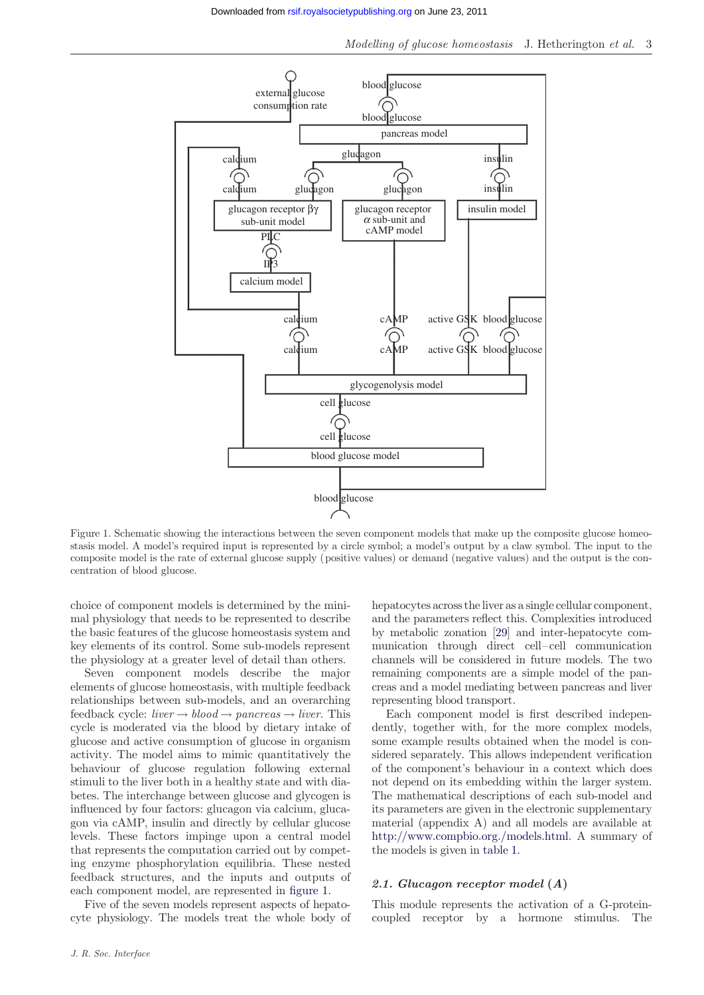<span id="page-3-0"></span>

Figure 1. Schematic showing the interactions between the seven component models that make up the composite glucose homeostasis model. A model's required input is represented by a circle symbol; a model's output by a claw symbol. The input to the composite model is the rate of external glucose supply (positive values) or demand (negative values) and the output is the concentration of blood glucose.

choice of component models is determined by the minimal physiology that needs to be represented to describe the basic features of the glucose homeostasis system and key elements of its control. Some sub-models represent the physiology at a greater level of detail than others.

Seven component models describe the major elements of glucose homeostasis, with multiple feedback relationships between sub-models, and an overarching feedback cycle:  $liver \rightarrow blood \rightarrow pancreas \rightarrow liver$ . This cycle is moderated via the blood by dietary intake of glucose and active consumption of glucose in organism activity. The model aims to mimic quantitatively the behaviour of glucose regulation following external stimuli to the liver both in a healthy state and with diabetes. The interchange between glucose and glycogen is influenced by four factors: glucagon via calcium, glucagon via cAMP, insulin and directly by cellular glucose levels. These factors impinge upon a central model that represents the computation carried out by competing enzyme phosphorylation equilibria. These nested feedback structures, and the inputs and outputs of each component model, are represented in figure 1.

Five of the seven models represent aspects of hepatocyte physiology. The models treat the whole body of hepatocytes across the liver as a single cellular component, and the parameters reflect this. Complexities introduced by metabolic zonation [\[29](#page-12-0)] and inter-hepatocyte communication through direct cell–cell communication channels will be considered in future models. The two remaining components are a simple model of the pancreas and a model mediating between pancreas and liver representing blood transport.

Each component model is first described independently, together with, for the more complex models, some example results obtained when the model is considered separately. This allows independent verification of the component's behaviour in a context which does not depend on its embedding within the larger system. The mathematical descriptions of each sub-model and its parameters are given in the electronic supplementary material (appendix A) and all models are available at [http:](http://www.compbio.org./models.html)//[www.compbio.org.](http://www.compbio.org./models.html)/models.html. A summary of the models is given in [table 1](#page-4-0).

# 2.1. Glucagon receptor model (A)

This module represents the activation of a G-proteincoupled receptor by a hormone stimulus. The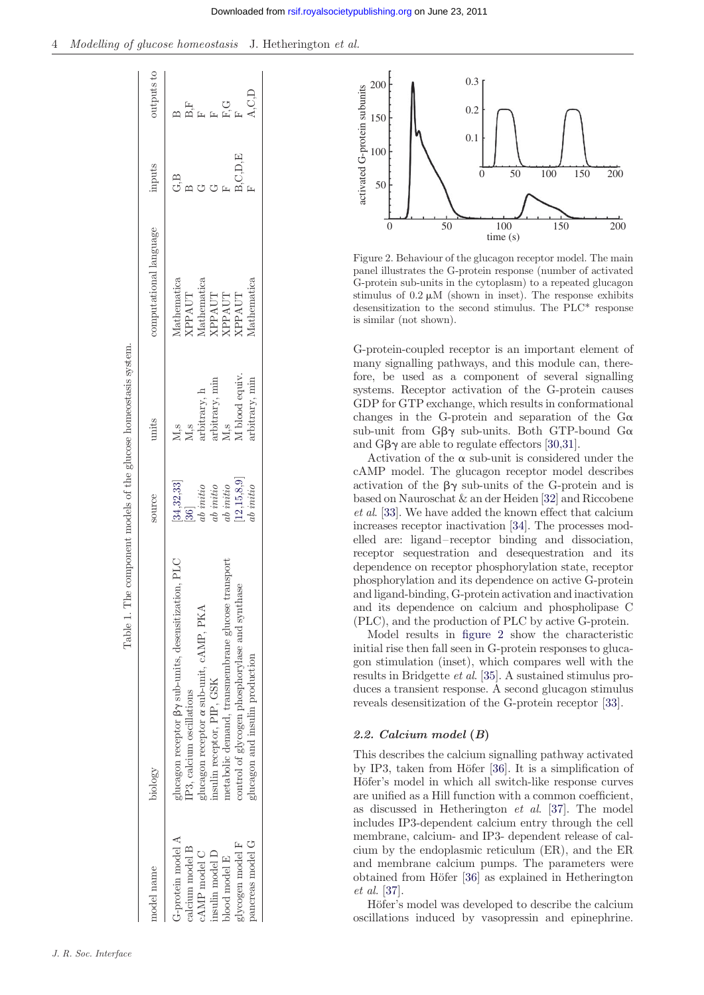<span id="page-4-0"></span>

| $\overline{4}$                                                   |            |                                                                                                                                                                                                                                                                                                                                                                                   | J. Hetherington et al.<br>Modelling of glucose homeostasis                                                                                                                                                             |
|------------------------------------------------------------------|------------|-----------------------------------------------------------------------------------------------------------------------------------------------------------------------------------------------------------------------------------------------------------------------------------------------------------------------------------------------------------------------------------|------------------------------------------------------------------------------------------------------------------------------------------------------------------------------------------------------------------------|
|                                                                  |            | outputs to                                                                                                                                                                                                                                                                                                                                                                        | A,C,D<br>F,G                                                                                                                                                                                                           |
|                                                                  |            | inputs                                                                                                                                                                                                                                                                                                                                                                            | B, C, D, E<br>$\mathbf{G},\mathbf{B}$<br>$\mathbf{\underline{m}}$<br>$\circ$<br>ぴ                                                                                                                                      |
| Table 1. The component models of the glucose homeostasis system. |            | computational language                                                                                                                                                                                                                                                                                                                                                            | F<br>$P$ $G$ st $d$ is<br>Mathematica<br>Mathematica<br>Mathematica<br><b>TIPAPEX</b><br>TUVIEN<br><b>TIPAPE</b><br><b>TLYGRY</b>                                                                                      |
|                                                                  |            | units                                                                                                                                                                                                                                                                                                                                                                             | C m fc syC c si a<br>M blood equiv<br>arbitrary, min<br>arbitrary, min<br>$arbitrary, h$<br>$M$ , s<br>$M$ , s                                                                                                         |
|                                                                  |            | source                                                                                                                                                                                                                                                                                                                                                                            | $\mathbf{c}$<br>[12, 15, 8, 9]<br>$\begin{array}{c} \text{a} \\ \text{b} \\ \text{e} \\ \text{in} \end{array}$<br>$\begin{bmatrix} 34, 32, 33 \\ 36 \end{bmatrix}$<br>ab initio<br>ab initio<br>ab initio<br>ab initio |
|                                                                  | biology    | red paa<br>glucagon receptor $\beta\gamma$ sub-units, desensitization, PLC<br>metabolic demand, transmembrane glucose transport<br>control of glycogen phosphorylase and synthase<br>glucagon receptor $\alpha$ sub-unit, cAMP, PKA<br>in g<br>red<br>re<br>glucagon and insulin production<br>insulin receptor, PIP, GSK<br>IP3, calcium oscillations<br>2 Tb H a a in n c a o e |                                                                                                                                                                                                                        |
|                                                                  | model name | G-protein model A<br>pancreas model G<br>glycogen model F<br>calcium model B<br>cAMP model C<br>insulin model D<br>blood model E<br>$\Omega$                                                                                                                                                                                                                                      |                                                                                                                                                                                                                        |



Figure 2. Behaviour of the glucagon receptor model. The main panel illustrates the G-protein response (number of activated G-protein sub-units in the cytoplasm) to a repeated glucagon stimulus of  $0.2 \mu M$  (shown in inset). The response exhibits desensitization to the second stimulus. The PLC\* response is similar (not shown).

G-protein-coupled receptor is an important element of many signalling pathways, and this module can, therefore, be used as a component of several signalling systems. Receptor activation of the G-protein causes GDP for GTP exchange, which results in conformational changes in the G-protein and separation of the  $G\alpha$ sub-unit from  $G\beta\gamma$  sub-units. Both GTP-bound  $G\alpha$ and  $G\beta\gamma$  are able to regulate effectors [\[30](#page-12-0),[31\]](#page-12-0).

Activation of the  $\alpha$  sub-unit is considered under the cAMP model. The glucagon receptor model describes activation of the  $\beta\gamma$  sub-units of the G-protein and is based on Nauroschat & an der Heiden [\[32\]](#page-12-0) and Riccobene et al. [[33\]](#page-12-0). We have added the known effect that calcium increases receptor inactivation [[34](#page-12-0)]. The processes modelled are: ligand–receptor binding and dissociation, receptor sequestration and desequestration and its dependence on receptor phosphorylation state, receptor phosphorylation and its dependence on active G-protein and ligand-binding, G-protein activation and inactivation and its dependence on calcium and phospholipase C (PLC), and the production of PLC by active G-protein.

Model results in figure 2 show the characteristic initial rise then fall seen in G-protein responses to glucagon stimulation (inset), which compares well with the results in Bridgette et al. [\[35](#page-12-0)]. A sustained stimulus produces a transient response. A second glucagon stimulus reveals desensitization of the G-protein receptor [\[33](#page-12-0)].

# 2.2. Calcium model (B)

This describes the calcium signalling pathway activated by IP3, taken from Höfer [[36\]](#page-12-0). It is a simplification of Höfer's model in which all switch-like response curves are unified as a Hill function with a common coefficient, as discussed in Hetherington et al. [\[37](#page-12-0)]. The model includes IP3-dependent calcium entry through the cell membrane, calcium- and IP3- dependent release of calcium by the endoplasmic reticulum (ER), and the ER and membrane calcium pumps. The parameters were obtained from Höfer [[36\]](#page-12-0) as explained in Hetherington et al. [\[37](#page-12-0)].

Höfer's model was developed to describe the calcium oscillations induced by vasopressin and epinephrine.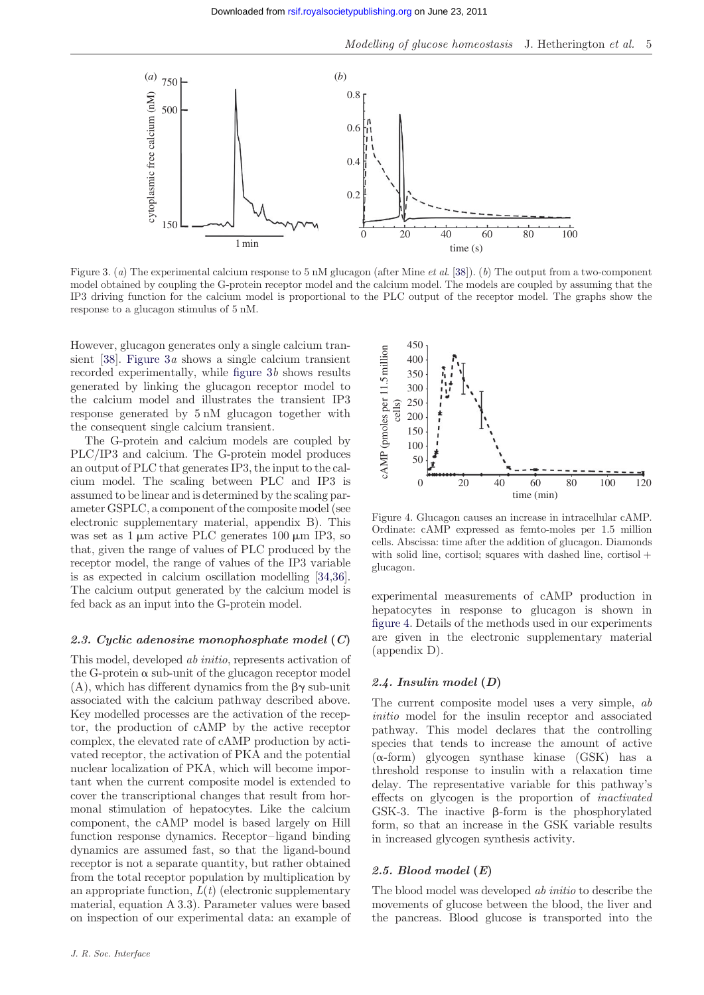<span id="page-5-0"></span>

Figure 3. (a) The experimental calcium response to 5 nM glucagon (after Mine et al. [\[38](#page-12-0)]). (b) The output from a two-component model obtained by coupling the G-protein receptor model and the calcium model. The models are coupled by assuming that the IP3 driving function for the calcium model is proportional to the PLC output of the receptor model. The graphs show the response to a glucagon stimulus of 5 nM.

However, glucagon generates only a single calcium transient [\[38](#page-12-0)]. Figure 3a shows a single calcium transient recorded experimentally, while figure 3b shows results generated by linking the glucagon receptor model to the calcium model and illustrates the transient IP3 response generated by 5 nM glucagon together with the consequent single calcium transient.

The G-protein and calcium models are coupled by PLC/IP3 and calcium. The G-protein model produces an output of PLC that generates IP3, the input to the calcium model. The scaling between PLC and IP3 is assumed to be linear and is determined by the scaling parameter GSPLC, a component of the composite model (see electronic supplementary material, appendix B). This was set as  $1 \mu m$  active PLC generates 100  $\mu m$  IP3, so that, given the range of values of PLC produced by the receptor model, the range of values of the IP3 variable is as expected in calcium oscillation modelling [[34,36](#page-12-0)]. The calcium output generated by the calcium model is fed back as an input into the G-protein model.

# 2.3. Cyclic adenosine monophosphate model (C)

This model, developed ab initio, represents activation of the G-protein  $\alpha$  sub-unit of the glucagon receptor model (A), which has different dynamics from the  $\beta\gamma$  sub-unit associated with the calcium pathway described above. Key modelled processes are the activation of the receptor, the production of cAMP by the active receptor complex, the elevated rate of cAMP production by activated receptor, the activation of PKA and the potential nuclear localization of PKA, which will become important when the current composite model is extended to cover the transcriptional changes that result from hormonal stimulation of hepatocytes. Like the calcium component, the cAMP model is based largely on Hill function response dynamics. Receptor –ligand binding dynamics are assumed fast, so that the ligand-bound receptor is not a separate quantity, but rather obtained from the total receptor population by multiplication by an appropriate function,  $L(t)$  (electronic supplementary material, equation A 3.3). Parameter values were based on inspection of our experimental data: an example of



Figure 4. Glucagon causes an increase in intracellular cAMP. Ordinate: cAMP expressed as femto-moles per 1.5 million cells. Abscissa: time after the addition of glucagon. Diamonds with solid line, cortisol; squares with dashed line, cortisol  $+$ glucagon.

experimental measurements of cAMP production in hepatocytes in response to glucagon is shown in figure 4. Details of the methods used in our experiments are given in the electronic supplementary material (appendix D).

## 2.4. Insulin model (D)

The current composite model uses a very simple, ab initio model for the insulin receptor and associated pathway. This model declares that the controlling species that tends to increase the amount of active  $(\alpha$ -form) glycogen synthase kinase  $(GSK)$  has a threshold response to insulin with a relaxation time delay. The representative variable for this pathway's effects on glycogen is the proportion of inactivated GSK-3. The inactive  $\beta$ -form is the phosphorylated form, so that an increase in the GSK variable results in increased glycogen synthesis activity.

# 2.5. Blood model  $(E)$

The blood model was developed ab initio to describe the movements of glucose between the blood, the liver and the pancreas. Blood glucose is transported into the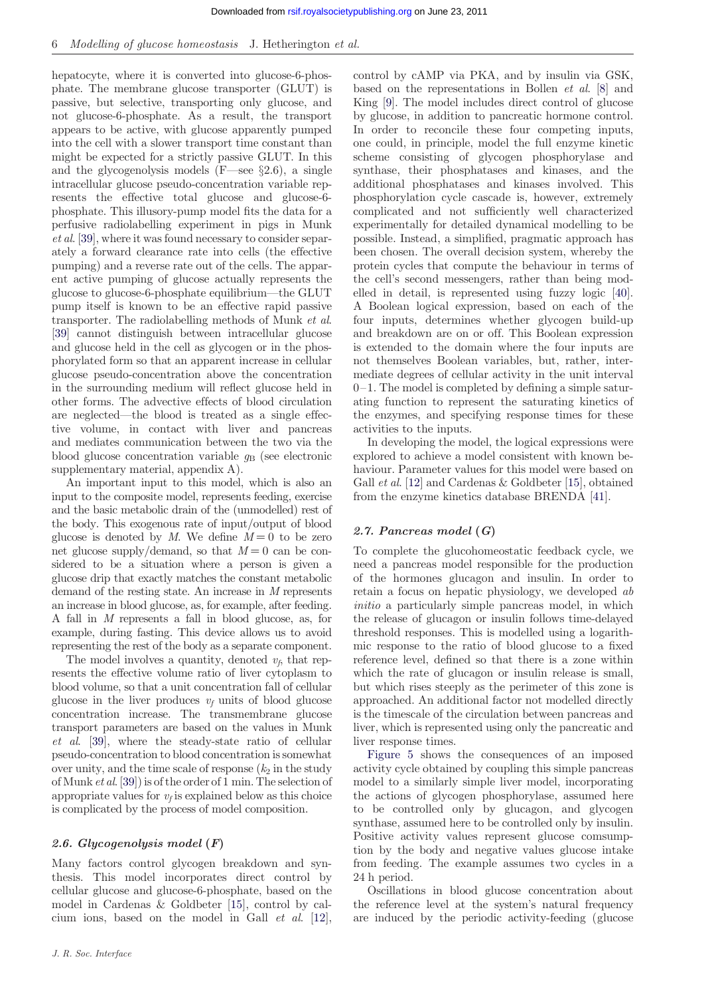hepatocyte, where it is converted into glucose-6-phosphate. The membrane glucose transporter (GLUT) is passive, but selective, transporting only glucose, and not glucose-6-phosphate. As a result, the transport appears to be active, with glucose apparently pumped into the cell with a slower transport time constant than might be expected for a strictly passive GLUT. In this and the glycogenolysis models (F—see §2.6), a single intracellular glucose pseudo-concentration variable represents the effective total glucose and glucose-6 phosphate. This illusory-pump model fits the data for a perfusive radiolabelling experiment in pigs in Munk et al. [\[39](#page-12-0)], where it was found necessary to consider separately a forward clearance rate into cells (the effective pumping) and a reverse rate out of the cells. The apparent active pumping of glucose actually represents the glucose to glucose-6-phosphate equilibrium—the GLUT pump itself is known to be an effective rapid passive transporter. The radiolabelling methods of Munk et al. [\[39](#page-12-0)] cannot distinguish between intracellular glucose and glucose held in the cell as glycogen or in the phosphorylated form so that an apparent increase in cellular glucose pseudo-concentration above the concentration in the surrounding medium will reflect glucose held in other forms. The advective effects of blood circulation are neglected—the blood is treated as a single effective volume, in contact with liver and pancreas and mediates communication between the two via the blood glucose concentration variable  $g_B$  (see electronic supplementary material, appendix A).

An important input to this model, which is also an input to the composite model, represents feeding, exercise and the basic metabolic drain of the (unmodelled) rest of the body. This exogenous rate of input/output of blood glucose is denoted by M. We define  $M = 0$  to be zero net glucose supply/demand, so that  $M = 0$  can be considered to be a situation where a person is given a glucose drip that exactly matches the constant metabolic demand of the resting state. An increase in M represents an increase in blood glucose, as, for example, after feeding. A fall in M represents a fall in blood glucose, as, for example, during fasting. This device allows us to avoid representing the rest of the body as a separate component.

The model involves a quantity, denoted  $v<sub>6</sub>$ , that represents the effective volume ratio of liver cytoplasm to blood volume, so that a unit concentration fall of cellular glucose in the liver produces  $v_f$  units of blood glucose concentration increase. The transmembrane glucose transport parameters are based on the values in Munk et al. [[39\]](#page-12-0), where the steady-state ratio of cellular pseudo-concentration to blood concentration is somewhat over unity, and the time scale of response  $(k_2$  in the study of Munk et al. [[39\]](#page-12-0)) is of the order of 1 min. The selection of appropriate values for  $v_f$  is explained below as this choice is complicated by the process of model composition.

## 2.6. Glycogenolysis model (F)

Many factors control glycogen breakdown and synthesis. This model incorporates direct control by cellular glucose and glucose-6-phosphate, based on the model in Cardenas & Goldbeter [\[15](#page-11-0)], control by calcium ions, based on the model in Gall et al. [\[12](#page-11-0)],

King [\[9](#page-11-0)]. The model includes direct control of glucose by glucose, in addition to pancreatic hormone control. In order to reconcile these four competing inputs, one could, in principle, model the full enzyme kinetic scheme consisting of glycogen phosphorylase and synthase, their phosphatases and kinases, and the additional phosphatases and kinases involved. This phosphorylation cycle cascade is, however, extremely complicated and not sufficiently well characterized experimentally for detailed dynamical modelling to be possible. Instead, a simplified, pragmatic approach has been chosen. The overall decision system, whereby the protein cycles that compute the behaviour in terms of the cell's second messengers, rather than being modelled in detail, is represented using fuzzy logic [\[40](#page-12-0)]. A Boolean logical expression, based on each of the four inputs, determines whether glycogen build-up and breakdown are on or off. This Boolean expression is extended to the domain where the four inputs are not themselves Boolean variables, but, rather, intermediate degrees of cellular activity in the unit interval  $0-1$ . The model is completed by defining a simple saturating function to represent the saturating kinetics of the enzymes, and specifying response times for these activities to the inputs. In developing the model, the logical expressions were

control by cAMP via PKA, and by insulin via GSK, based on the representations in Bollen et al. [\[8](#page-11-0)] and

explored to achieve a model consistent with known behaviour. Parameter values for this model were based on Gall et al. [\[12](#page-11-0)] and Cardenas & Goldbeter [\[15](#page-11-0)], obtained from the enzyme kinetics database BRENDA [[41\]](#page-12-0).

## 2.7. Pancreas model (G)

To complete the glucohomeostatic feedback cycle, we need a pancreas model responsible for the production of the hormones glucagon and insulin. In order to retain a focus on hepatic physiology, we developed ab initio a particularly simple pancreas model, in which the release of glucagon or insulin follows time-delayed threshold responses. This is modelled using a logarithmic response to the ratio of blood glucose to a fixed reference level, defined so that there is a zone within which the rate of glucagon or insulin release is small, but which rises steeply as the perimeter of this zone is approached. An additional factor not modelled directly is the timescale of the circulation between pancreas and liver, which is represented using only the pancreatic and liver response times.

[Figure 5](#page-7-0) shows the consequences of an imposed activity cycle obtained by coupling this simple pancreas model to a similarly simple liver model, incorporating the actions of glycogen phosphorylase, assumed here to be controlled only by glucagon, and glycogen synthase, assumed here to be controlled only by insulin. Positive activity values represent glucose comsumption by the body and negative values glucose intake from feeding. The example assumes two cycles in a 24 h period.

Oscillations in blood glucose concentration about the reference level at the system's natural frequency are induced by the periodic activity-feeding (glucose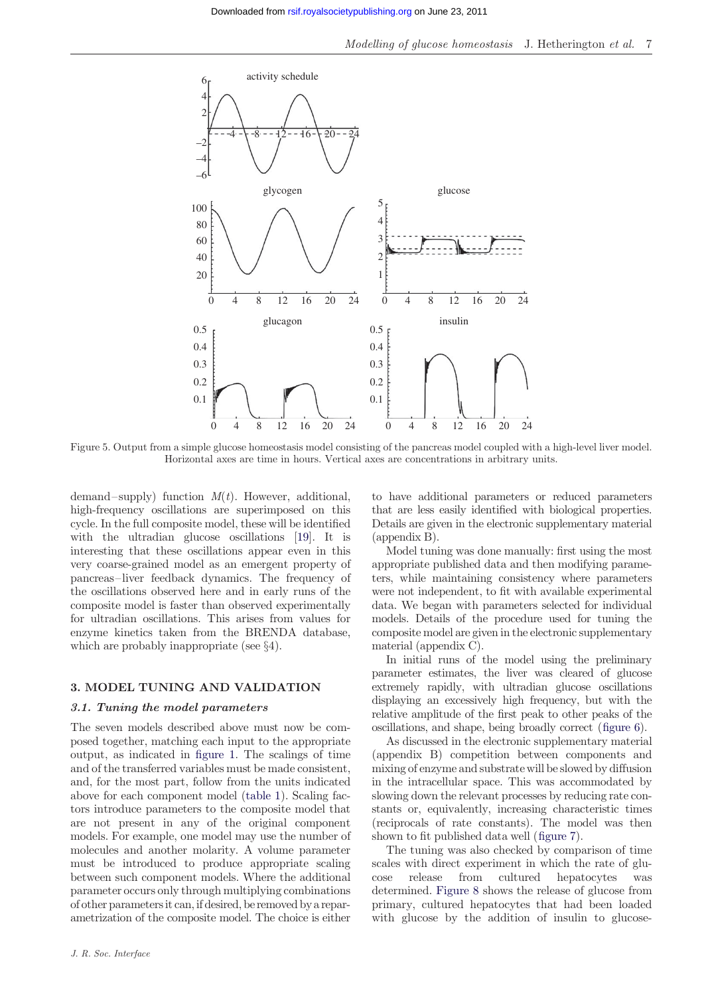<span id="page-7-0"></span>

Figure 5. Output from a simple glucose homeostasis model consisting of the pancreas model coupled with a high-level liver model. Horizontal axes are time in hours. Vertical axes are concentrations in arbitrary units.

demand–supply) function  $M(t)$ . However, additional, high-frequency oscillations are superimposed on this cycle. In the full composite model, these will be identified with the ultradian glucose oscillations [\[19](#page-12-0)]. It is interesting that these oscillations appear even in this very coarse-grained model as an emergent property of pancreas–liver feedback dynamics. The frequency of the oscillations observed here and in early runs of the composite model is faster than observed experimentally for ultradian oscillations. This arises from values for enzyme kinetics taken from the BRENDA database, which are probably inappropriate (see §4).

#### 3. MODEL TUNING AND VALIDATION

#### 3.1. Tuning the model parameters

The seven models described above must now be composed together, matching each input to the appropriate output, as indicated in [figure 1.](#page-3-0) The scalings of time and of the transferred variables must be made consistent, and, for the most part, follow from the units indicated above for each component model ([table 1](#page-4-0)). Scaling factors introduce parameters to the composite model that are not present in any of the original component models. For example, one model may use the number of molecules and another molarity. A volume parameter must be introduced to produce appropriate scaling between such component models. Where the additional parameter occurs only through multiplying combinations of other parameters it can, if desired, be removed by a reparametrization of the composite model. The choice is either to have additional parameters or reduced parameters that are less easily identified with biological properties. Details are given in the electronic supplementary material (appendix B).

Model tuning was done manually: first using the most appropriate published data and then modifying parameters, while maintaining consistency where parameters were not independent, to fit with available experimental data. We began with parameters selected for individual models. Details of the procedure used for tuning the composite model are given in the electronic supplementary material (appendix C).

In initial runs of the model using the preliminary parameter estimates, the liver was cleared of glucose extremely rapidly, with ultradian glucose oscillations displaying an excessively high frequency, but with the relative amplitude of the first peak to other peaks of the oscillations, and shape, being broadly correct [\(figure 6](#page-8-0)).

As discussed in the electronic supplementary material (appendix B) competition between components and mixing of enzyme and substrate will be slowed by diffusion in the intracellular space. This was accommodated by slowing down the relevant processes by reducing rate constants or, equivalently, increasing characteristic times (reciprocals of rate constants). The model was then shown to fit published data well ([figure 7\)](#page-9-0).

The tuning was also checked by comparison of time scales with direct experiment in which the rate of glucose release from cultured hepatocytes was determined. [Figure 8](#page-9-0) shows the release of glucose from primary, cultured hepatocytes that had been loaded with glucose by the addition of insulin to glucose-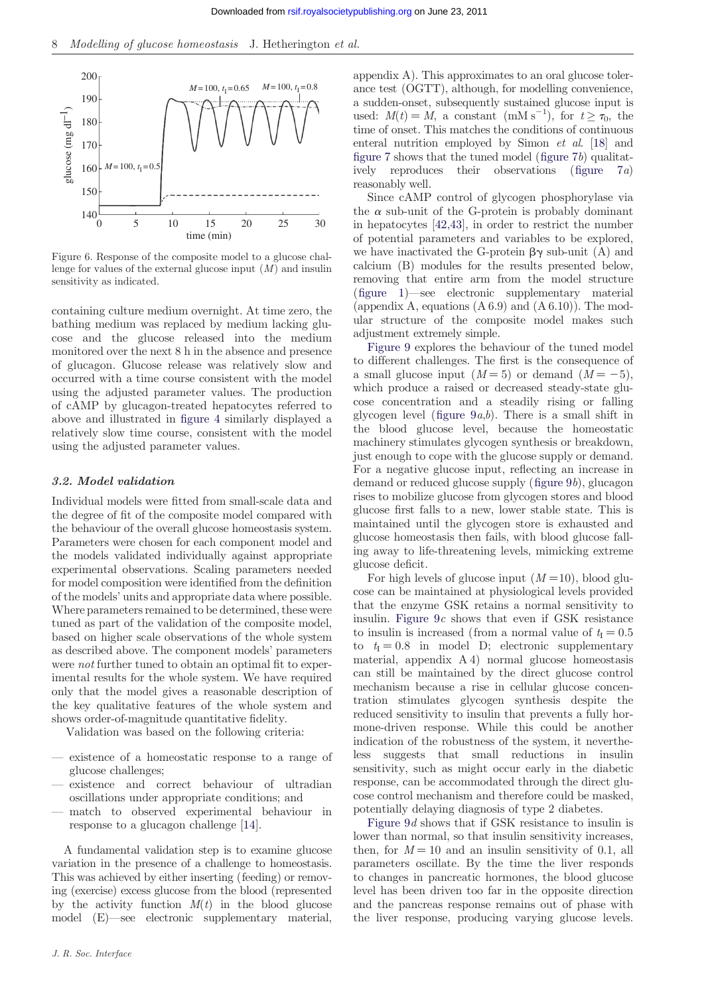<span id="page-8-0"></span>

Figure 6. Response of the composite model to a glucose challenge for values of the external glucose input  $(M)$  and insulin sensitivity as indicated.

containing culture medium overnight. At time zero, the bathing medium was replaced by medium lacking glucose and the glucose released into the medium monitored over the next 8 h in the absence and presence of glucagon. Glucose release was relatively slow and occurred with a time course consistent with the model using the adjusted parameter values. The production of cAMP by glucagon-treated hepatocytes referred to above and illustrated in [figure 4](#page-5-0) similarly displayed a relatively slow time course, consistent with the model using the adjusted parameter values.

#### 3.2. Model validation

Individual models were fitted from small-scale data and the degree of fit of the composite model compared with the behaviour of the overall glucose homeostasis system. Parameters were chosen for each component model and the models validated individually against appropriate experimental observations. Scaling parameters needed for model composition were identified from the definition of the models' units and appropriate data where possible. Where parameters remained to be determined, these were tuned as part of the validation of the composite model, based on higher scale observations of the whole system as described above. The component models' parameters were not further tuned to obtain an optimal fit to experimental results for the whole system. We have required only that the model gives a reasonable description of the key qualitative features of the whole system and shows order-of-magnitude quantitative fidelity.

Validation was based on the following criteria:

- existence of a homeostatic response to a range of glucose challenges;
- existence and correct behaviour of ultradian oscillations under appropriate conditions; and
- match to observed experimental behaviour in response to a glucagon challenge [[14](#page-11-0)].

A fundamental validation step is to examine glucose variation in the presence of a challenge to homeostasis. This was achieved by either inserting (feeding) or removing (exercise) excess glucose from the blood (represented by the activity function  $M(t)$  in the blood glucose model (E)—see electronic supplementary material,

appendix A). This approximates to an oral glucose tolerance test (OGTT), although, for modelling convenience, a sudden-onset, subsequently sustained glucose input is used:  $M(t) = M$ , a constant (mM s<sup>-1</sup>), for  $t \geq \tau_0$ , the time of onset. This matches the conditions of continuous enteral nutrition employed by Simon et al. [[18\]](#page-12-0) and [figure 7](#page-9-0) shows that the tuned model (figure  $7b$ ) qualitatively reproduces their observations ([figure 7](#page-9-0)a) reasonably well.

Since cAMP control of glycogen phosphorylase via the  $\alpha$  sub-unit of the G-protein is probably dominant in hepatocytes [\[42](#page-12-0),[43\]](#page-12-0), in order to restrict the number of potential parameters and variables to be explored, we have inactivated the G-protein  $\beta\gamma$  sub-unit (A) and calcium (B) modules for the results presented below, removing that entire arm from the model structure ([figure 1](#page-3-0))—see electronic supplementary material (appendix A, equations  $(A 6.9)$  and  $(A 6.10)$ ). The modular structure of the composite model makes such adjustment extremely simple.

[Figure 9](#page-10-0) explores the behaviour of the tuned model to different challenges. The first is the consequence of a small glucose input  $(M = 5)$  or demand  $(M = -5)$ , which produce a raised or decreased steady-state glucose concentration and a steadily rising or falling glycogen level (figure  $9a,b$ ). There is a small shift in the blood glucose level, because the homeostatic machinery stimulates glycogen synthesis or breakdown, just enough to cope with the glucose supply or demand. For a negative glucose input, reflecting an increase in demand or reduced glucose supply [\(figure 9](#page-10-0)b), glucagon rises to mobilize glucose from glycogen stores and blood glucose first falls to a new, lower stable state. This is maintained until the glycogen store is exhausted and glucose homeostasis then fails, with blood glucose falling away to life-threatening levels, mimicking extreme glucose deficit.

For high levels of glucose input  $(M=10)$ , blood glucose can be maintained at physiological levels provided that the enzyme GSK retains a normal sensitivity to insulin. Figure  $9c$  shows that even if GSK resistance to insulin is increased (from a normal value of  $t_1 = 0.5$ ) to  $t_1 = 0.8$  in model D; electronic supplementary material, appendix A 4) normal glucose homeostasis can still be maintained by the direct glucose control mechanism because a rise in cellular glucose concentration stimulates glycogen synthesis despite the reduced sensitivity to insulin that prevents a fully hormone-driven response. While this could be another indication of the robustness of the system, it nevertheless suggests that small reductions in insulin sensitivity, such as might occur early in the diabetic response, can be accommodated through the direct glucose control mechanism and therefore could be masked, potentially delaying diagnosis of type 2 diabetes.

[Figure 9](#page-10-0)d shows that if GSK resistance to insulin is lower than normal, so that insulin sensitivity increases, then, for  $M = 10$  and an insulin sensitivity of 0.1, all parameters oscillate. By the time the liver responds to changes in pancreatic hormones, the blood glucose level has been driven too far in the opposite direction and the pancreas response remains out of phase with the liver response, producing varying glucose levels.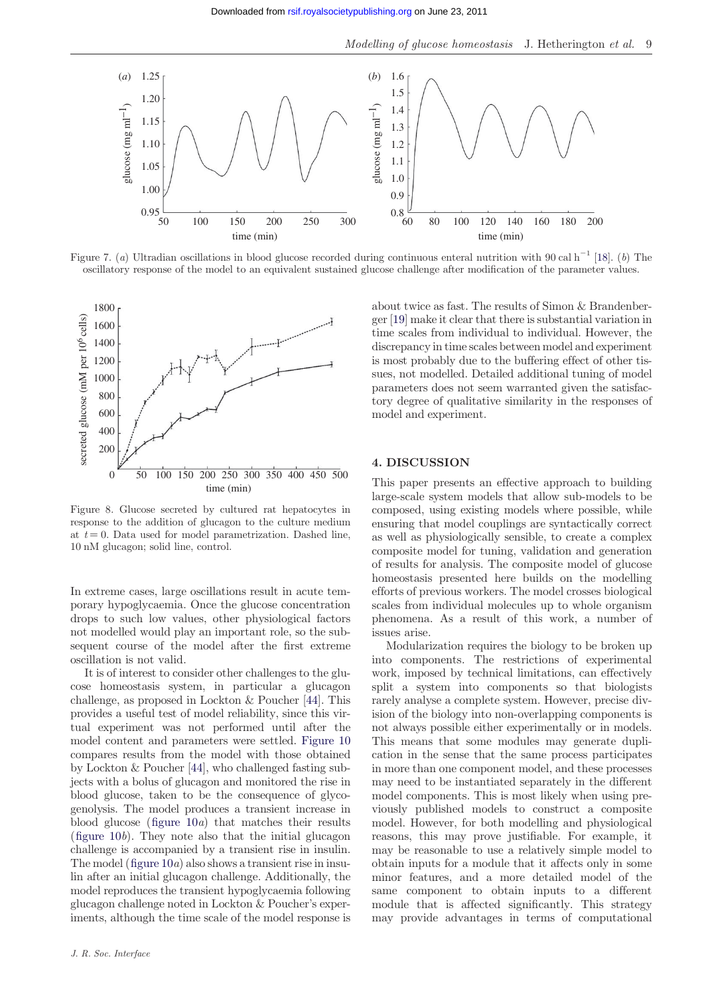<span id="page-9-0"></span>

Figure 7. (a) Ultradian oscillations in blood glucose recorded during continuous enteral nutrition with 90 cal  $h^{-1}$  [\[18](#page-12-0)]. (b) The oscillatory response of the model to an equivalent sustained glucose challenge after modification of the parameter values.



Figure 8. Glucose secreted by cultured rat hepatocytes in response to the addition of glucagon to the culture medium at  $t = 0$ . Data used for model parametrization. Dashed line, 10 nM glucagon; solid line, control.

In extreme cases, large oscillations result in acute temporary hypoglycaemia. Once the glucose concentration drops to such low values, other physiological factors not modelled would play an important role, so the subsequent course of the model after the first extreme oscillation is not valid.

It is of interest to consider other challenges to the glucose homeostasis system, in particular a glucagon challenge, as proposed in Lockton & Poucher [[44\]](#page-12-0). This provides a useful test of model reliability, since this virtual experiment was not performed until after the model content and parameters were settled. [Figure 10](#page-10-0) compares results from the model with those obtained by Lockton & Poucher [\[44](#page-12-0)], who challenged fasting subjects with a bolus of glucagon and monitored the rise in blood glucose, taken to be the consequence of glycogenolysis. The model produces a transient increase in blood glucose (figure  $10a$ ) that matches their results (figure  $10b$ ). They note also that the initial glucagon challenge is accompanied by a transient rise in insulin. The model ([figure 10](#page-10-0)a) also shows a transient rise in insulin after an initial glucagon challenge. Additionally, the model reproduces the transient hypoglycaemia following glucagon challenge noted in Lockton & Poucher's experiments, although the time scale of the model response is about twice as fast. The results of Simon & Brandenberger [\[19](#page-12-0)] make it clear that there is substantial variation in time scales from individual to individual. However, the discrepancy in time scales between model and experiment is most probably due to the buffering effect of other tissues, not modelled. Detailed additional tuning of model parameters does not seem warranted given the satisfactory degree of qualitative similarity in the responses of model and experiment.

#### 4. DISCUSSION

This paper presents an effective approach to building large-scale system models that allow sub-models to be composed, using existing models where possible, while ensuring that model couplings are syntactically correct as well as physiologically sensible, to create a complex composite model for tuning, validation and generation of results for analysis. The composite model of glucose homeostasis presented here builds on the modelling efforts of previous workers. The model crosses biological scales from individual molecules up to whole organism phenomena. As a result of this work, a number of issues arise.

Modularization requires the biology to be broken up into components. The restrictions of experimental work, imposed by technical limitations, can effectively split a system into components so that biologists rarely analyse a complete system. However, precise division of the biology into non-overlapping components is not always possible either experimentally or in models. This means that some modules may generate duplication in the sense that the same process participates in more than one component model, and these processes may need to be instantiated separately in the different model components. This is most likely when using previously published models to construct a composite model. However, for both modelling and physiological reasons, this may prove justifiable. For example, it may be reasonable to use a relatively simple model to obtain inputs for a module that it affects only in some minor features, and a more detailed model of the same component to obtain inputs to a different module that is affected significantly. This strategy may provide advantages in terms of computational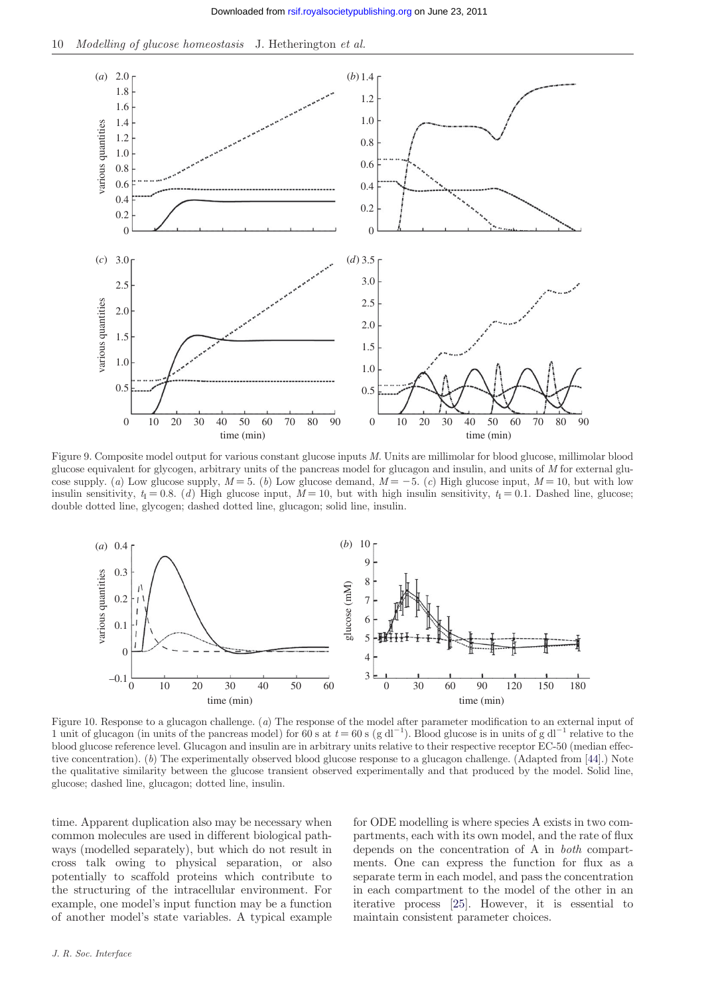<span id="page-10-0"></span>

Figure 9. Composite model output for various constant glucose inputs M. Units are millimolar for blood glucose, millimolar blood glucose equivalent for glycogen, arbitrary units of the pancreas model for glucagon and insulin, and units of  $M$  for external glucose supply. (a) Low glucose supply,  $M = 5$ . (b) Low glucose demand,  $M = -5$ . (c) High glucose input,  $M = 10$ , but with low insulin sensitivity,  $t_1 = 0.8$ . (d) High glucose input,  $M = 10$ , but with high insulin sensitivity,  $t_1 = 0.1$ . Dashed line, glucose; double dotted line, glycogen; dashed dotted line, glucagon; solid line, insulin.



Figure 10. Response to a glucagon challenge. (a) The response of the model after parameter modification to an external input of 1 unit of glucagon (in units of the pancreas model) for 60 s at  $t = 60$  s (g dl<sup>-1</sup>). Blood glucose is in units of g dl<sup>-1</sup> relative to the blood glucose reference level. Glucagon and insulin are in arbitrary units relative to their respective receptor EC-50 (median effec-tive concentration). (b) The experimentally observed blood glucose response to a glucagon challenge. (Adapted from [\[44](#page-12-0)].) Note the qualitative similarity between the glucose transient observed experimentally and that produced by the model. Solid line, glucose; dashed line, glucagon; dotted line, insulin.

time. Apparent duplication also may be necessary when common molecules are used in different biological pathways (modelled separately), but which do not result in cross talk owing to physical separation, or also potentially to scaffold proteins which contribute to the structuring of the intracellular environment. For example, one model's input function may be a function of another model's state variables. A typical example

for ODE modelling is where species A exists in two compartments, each with its own model, and the rate of flux depends on the concentration of A in both compartments. One can express the function for flux as a separate term in each model, and pass the concentration in each compartment to the model of the other in an iterative process [\[25](#page-12-0)]. However, it is essential to maintain consistent parameter choices.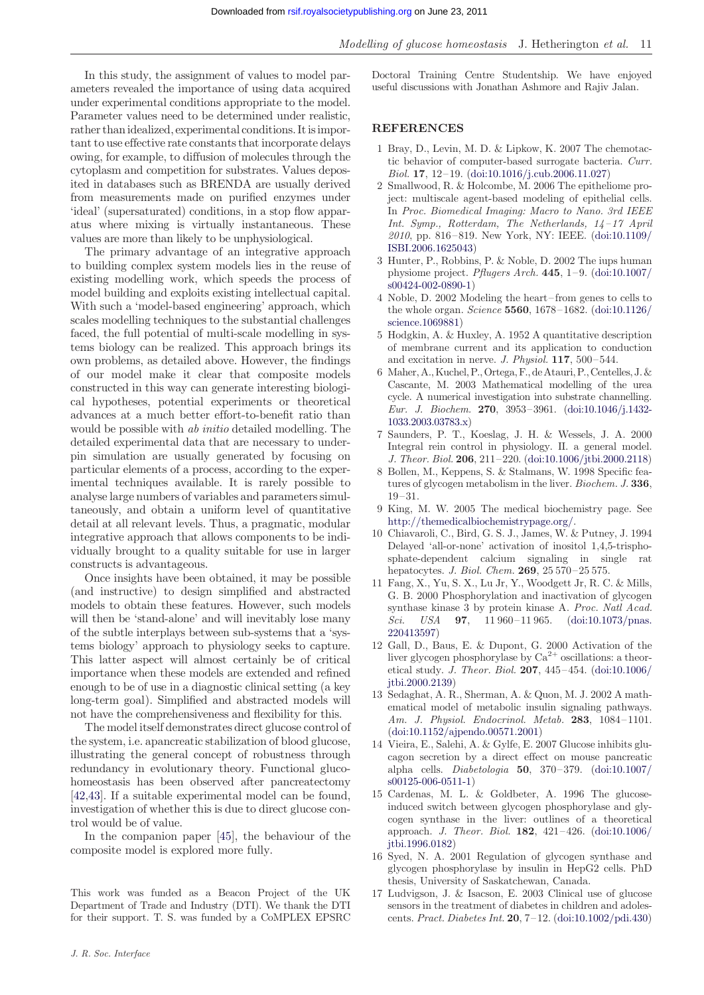<span id="page-11-0"></span>In this study, the assignment of values to model parameters revealed the importance of using data acquired under experimental conditions appropriate to the model. Parameter values need to be determined under realistic, rather than idealized, experimental conditions. It is important to use effective rate constants that incorporate delays owing, for example, to diffusion of molecules through the cytoplasm and competition for substrates. Values deposited in databases such as BRENDA are usually derived from measurements made on purified enzymes under 'ideal' (supersaturated) conditions, in a stop flow apparatus where mixing is virtually instantaneous. These values are more than likely to be unphysiological.

The primary advantage of an integrative approach to building complex system models lies in the reuse of existing modelling work, which speeds the process of model building and exploits existing intellectual capital. With such a 'model-based engineering' approach, which scales modelling techniques to the substantial challenges faced, the full potential of multi-scale modelling in systems biology can be realized. This approach brings its own problems, as detailed above. However, the findings of our model make it clear that composite models constructed in this way can generate interesting biological hypotheses, potential experiments or theoretical advances at a much better effort-to-benefit ratio than would be possible with *ab initio* detailed modelling. The detailed experimental data that are necessary to underpin simulation are usually generated by focusing on particular elements of a process, according to the experimental techniques available. It is rarely possible to analyse large numbers of variables and parameters simultaneously, and obtain a uniform level of quantitative detail at all relevant levels. Thus, a pragmatic, modular integrative approach that allows components to be individually brought to a quality suitable for use in larger constructs is advantageous.

Once insights have been obtained, it may be possible (and instructive) to design simplified and abstracted models to obtain these features. However, such models will then be 'stand-alone' and will inevitably lose many of the subtle interplays between sub-systems that a 'systems biology' approach to physiology seeks to capture. This latter aspect will almost certainly be of critical importance when these models are extended and refined enough to be of use in a diagnostic clinical setting (a key long-term goal). Simplified and abstracted models will not have the comprehensiveness and flexibility for this.

The model itself demonstrates direct glucose control of the system, i.e. apancreatic stabilization of blood glucose, illustrating the general concept of robustness through redundancy in evolutionary theory. Functional glucohomeostasis has been observed after pancreatectomy [\[42](#page-12-0),[43\]](#page-12-0). If a suitable experimental model can be found, investigation of whether this is due to direct glucose control would be of value.

In the companion paper [[45\]](#page-12-0), the behaviour of the composite model is explored more fully.

This work was funded as a Beacon Project of the UK Department of Trade and Industry (DTI). We thank the DTI for their support. T. S. was funded by a CoMPLEX EPSRC Doctoral Training Centre Studentship. We have enjoyed useful discussions with Jonathan Ashmore and Rajiv Jalan.

#### **REFERENCES**

- 1 Bray, D., Levin, M. D. & Lipkow, K. 2007 The chemotactic behavior of computer-based surrogate bacteria. Curr. Biol. 17, 12–19. (doi:10.1016/[j.cub.2006.11.027](http://dx.doi.org/10.1016/j.cub.2006.11.027))
- 2 Smallwood, R. & Holcombe, M. 2006 The epitheliome project: multiscale agent-based modeling of epithelial cells. In Proc. Biomedical Imaging: Macro to Nano. 3rd IEEE Int. Symp., Rotterdam, The Netherlands, 14–17 April 2010, pp. 816 –819. New York, NY: IEEE. [\(doi:10.1109](http://dx.doi.org/10.1109/ISBI.2006.1625043)/ [ISBI.2006.1625043\)](http://dx.doi.org/10.1109/ISBI.2006.1625043)
- 3 Hunter, P., Robbins, P. & Noble, D. 2002 The iups human physiome project. Pflugers Arch.  $445$ ,  $1-9$ . [\(doi:10.1007](http://dx.doi.org/10.1007/s00424-002-0890-1)/ [s00424-002-0890-1\)](http://dx.doi.org/10.1007/s00424-002-0890-1)
- 4 Noble, D. 2002 Modeling the heart– from genes to cells to the whole organ. Science 5560, 1678–1682. [\(doi:10.1126](http://dx.doi.org/10.1126/science.1069881)/ [science.1069881\)](http://dx.doi.org/10.1126/science.1069881)
- 5 Hodgkin, A. & Huxley, A. 1952 A quantitative description of membrane current and its application to conduction and excitation in nerve.  $J. Physiol.$  117, 500-544.
- 6 Maher, A., Kuchel,P., Ortega,F., de Atauri,P., Centelles, J. & Cascante, M. 2003 Mathematical modelling of the urea cycle. A numerical investigation into substrate channelling. Eur. J. Biochem. 270, 3953–3961. [\(doi:10.1046](http://dx.doi.org/10.1046/j.1432-1033.2003.03783.x)/j.1432- [1033.2003.03783.x\)](http://dx.doi.org/10.1046/j.1432-1033.2003.03783.x)
- 7 Saunders, P. T., Koeslag, J. H. & Wessels, J. A. 2000 Integral rein control in physiology. II. a general model. J. Theor. Biol. 206, 211–220. (doi:10.1006/[jtbi.2000.2118](http://dx.doi.org/10.1006/jtbi.2000.2118))
- 8 Bollen, M., Keppens, S. & Stalmans, W. 1998 Specific features of glycogen metabolism in the liver. Biochem. J. 336,  $19 - 31.$
- 9 King, M. W. 2005 The medical biochemistry page. See http://[themedicalbiochemistrypage.org](http://themedicalbiochemistrypage.org/)/.
- 10 Chiavaroli, C., Bird, G. S. J., James, W. & Putney, J. 1994 Delayed 'all-or-none' activation of inositol 1,4,5-trisphosphate-dependent calcium signaling in single rat hepatocytes. J. Biol. Chem. **269**, 25 570-25 575.
- 11 Fang, X., Yu, S. X., Lu Jr, Y., Woodgett Jr, R. C. & Mills, G. B. 2000 Phosphorylation and inactivation of glycogen synthase kinase 3 by protein kinase A. Proc. Natl Acad. Sci. USA 97, 11 960 – 11 965. ([doi:10.1073](http://dx.doi.org/10.1073/pnas.220413597)/pnas. [220413597\)](http://dx.doi.org/10.1073/pnas.220413597)
- 12 Gall, D., Baus, E. & Dupont, G. 2000 Activation of the liver glycogen phosphorylase by  $Ca^{2+}$  oscillations: a theoretical study. J. Theor. Biol. 207, 445 –454. [\(doi:10.1006](http://dx.doi.org/10.1006/jtbi.2000.2139)/ [jtbi.2000.2139](http://dx.doi.org/10.1006/jtbi.2000.2139))
- 13 Sedaghat, A. R., Sherman, A. & Quon, M. J. 2002 A mathematical model of metabolic insulin signaling pathways. Am. J. Physiol. Endocrinol. Metab. 283, 1084–1101. (doi:10.1152/[ajpendo.00571.2001\)](http://dx.doi.org/10.1152/ajpendo.00571.2001)
- 14 Vieira, E., Salehi, A. & Gylfe, E. 2007 Glucose inhibits glucagon secretion by a direct effect on mouse pancreatic alpha cells. Diabetologia 50, 370 –379. [\(doi:10.1007](http://dx.doi.org/10.1007/s00125-006-0511-1)/ [s00125-006-0511-1\)](http://dx.doi.org/10.1007/s00125-006-0511-1)
- 15 Cardenas, M. L. & Goldbeter, A. 1996 The glucoseinduced switch between glycogen phosphorylase and glycogen synthase in the liver: outlines of a theoretical approach. J. Theor. Biol. 182, 421 –426. [\(doi:10.1006](http://dx.doi.org/10.1006/jtbi.1996.0182)/ [jtbi.1996.0182](http://dx.doi.org/10.1006/jtbi.1996.0182))
- 16 Syed, N. A. 2001 Regulation of glycogen synthase and glycogen phosphorylase by insulin in HepG2 cells. PhD thesis, University of Saskatchewan, Canada.
- 17 Ludvigson, J. & Isacson, E. 2003 Clinical use of glucose sensors in the treatment of diabetes in children and adolescents. Pract. Diabetes Int. 20, 7–12. ([doi:10.1002](http://dx.doi.org/10.1002/pdi.430)/pdi.430)